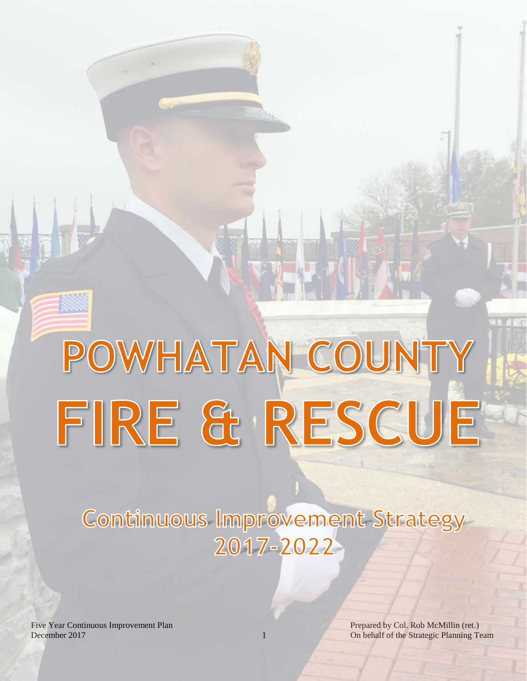# **Continuous Improvement Strategy** 2017-2022

POWHATAN COUNTY

FIRE & RESCUE

December 2017

Five Year Continuous Improvement Plan Prepared by Col. Rob McMillin (ret.) 1 On behalf of the Strategic Planning Team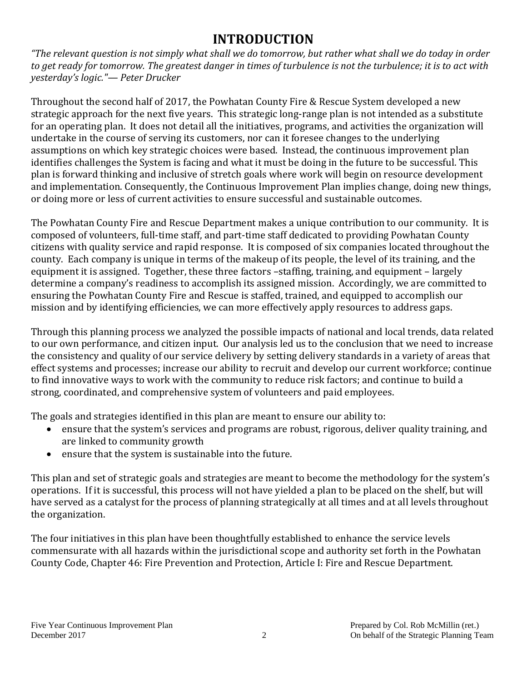# **INTRODUCTION**

*"The relevant question is not simply what shall we do tomorrow, but rather what shall we do today in order to get ready for tomorrow. The greatest danger in times of turbulence is not the turbulence; it is to act with yesterday's logic."— Peter Drucker*

Throughout the second half of 2017, the Powhatan County Fire & Rescue System developed a new strategic approach for the next five years. This strategic long-range plan is not intended as a substitute for an operating plan. It does not detail all the initiatives, programs, and activities the organization will undertake in the course of serving its customers, nor can it foresee changes to the underlying assumptions on which key strategic choices were based. Instead, the continuous improvement plan identifies challenges the System is facing and what it must be doing in the future to be successful. This plan is forward thinking and inclusive of stretch goals where work will begin on resource development and implementation. Consequently, the Continuous Improvement Plan implies change, doing new things, or doing more or less of current activities to ensure successful and sustainable outcomes.

The Powhatan County Fire and Rescue Department makes a unique contribution to our community. It is composed of volunteers, full-time staff, and part-time staff dedicated to providing Powhatan County citizens with quality service and rapid response. It is composed of six companies located throughout the county. Each company is unique in terms of the makeup of its people, the level of its training, and the equipment it is assigned. Together, these three factors –staffing, training, and equipment – largely determine a company's readiness to accomplish its assigned mission. Accordingly, we are committed to ensuring the Powhatan County Fire and Rescue is staffed, trained, and equipped to accomplish our mission and by identifying efficiencies, we can more effectively apply resources to address gaps.

Through this planning process we analyzed the possible impacts of national and local trends, data related to our own performance, and citizen input. Our analysis led us to the conclusion that we need to increase the consistency and quality of our service delivery by setting delivery standards in a variety of areas that effect systems and processes; increase our ability to recruit and develop our current workforce; continue to find innovative ways to work with the community to reduce risk factors; and continue to build a strong, coordinated, and comprehensive system of volunteers and paid employees.

The goals and strategies identified in this plan are meant to ensure our ability to:

- ensure that the system's services and programs are robust, rigorous, deliver quality training, and are linked to community growth
- ensure that the system is sustainable into the future.

This plan and set of strategic goals and strategies are meant to become the methodology for the system's operations. If it is successful, this process will not have yielded a plan to be placed on the shelf, but will have served as a catalyst for the process of planning strategically at all times and at all levels throughout the organization.

The four initiatives in this plan have been thoughtfully established to enhance the service levels commensurate with all hazards within the jurisdictional scope and authority set forth in the Powhatan County Code, Chapter 46: Fire Prevention and Protection, Article I: Fire and Rescue Department.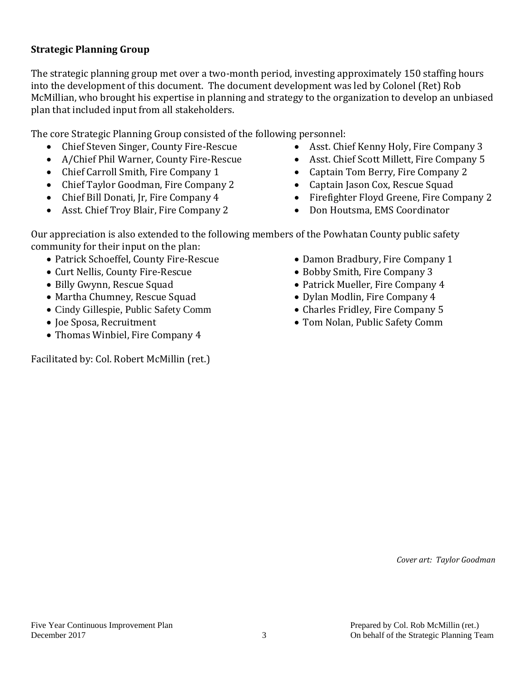#### **Strategic Planning Group**

The strategic planning group met over a two-month period, investing approximately 150 staffing hours into the development of this document. The document development was led by Colonel (Ret) Rob McMillian, who brought his expertise in planning and strategy to the organization to develop an unbiased plan that included input from all stakeholders.

The core Strategic Planning Group consisted of the following personnel:

- Chief Steven Singer, County Fire-Rescue
- A/Chief Phil Warner, County Fire-Rescue
- Chief Carroll Smith, Fire Company 1
- Chief Taylor Goodman, Fire Company 2
- Chief Bill Donati, Jr, Fire Company 4
- Asst. Chief Troy Blair, Fire Company 2
- Asst. Chief Kenny Holy, Fire Company 3
- Asst. Chief Scott Millett, Fire Company 5
- Captain Tom Berry, Fire Company 2
- Captain Jason Cox, Rescue Squad
- Firefighter Floyd Greene, Fire Company 2
- Don Houtsma, EMS Coordinator

Our appreciation is also extended to the following members of the Powhatan County public safety community for their input on the plan:

- Patrick Schoeffel, County Fire-Rescue
- Curt Nellis, County Fire-Rescue
- Billy Gwynn, Rescue Squad
- Martha Chumney, Rescue Squad
- Cindy Gillespie, Public Safety Comm
- Joe Sposa, Recruitment
- Thomas Winbiel, Fire Company 4

Facilitated by: Col. Robert McMillin (ret.)

- Damon Bradbury, Fire Company 1
- Bobby Smith, Fire Company 3
- Patrick Mueller, Fire Company 4
- Dylan Modlin, Fire Company 4
- Charles Fridley, Fire Company 5
- Tom Nolan, Public Safety Comm

*Cover art: Taylor Goodman*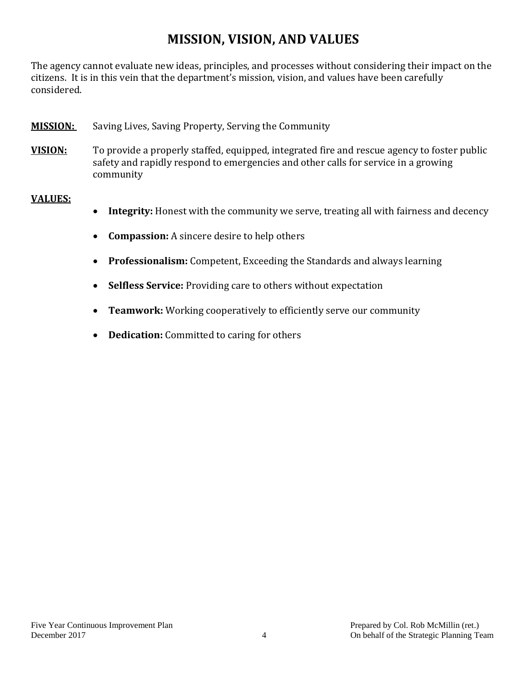# **MISSION, VISION, AND VALUES**

The agency cannot evaluate new ideas, principles, and processes without considering their impact on the citizens. It is in this vein that the department's mission, vision, and values have been carefully considered.

- **MISSION:** Saving Lives, Saving Property, Serving the Community
- **VISION:** To provide a properly staffed, equipped, integrated fire and rescue agency to foster public safety and rapidly respond to emergencies and other calls for service in a growing community

#### **VALUES:**

- Integrity: Honest with the community we serve, treating all with fairness and decency
- **Compassion:** A sincere desire to help others
- **Professionalism:** Competent, Exceeding the Standards and always learning
- **Selfless Service:** Providing care to others without expectation
- **Teamwork:** Working cooperatively to efficiently serve our community
- **Dedication:** Committed to caring for others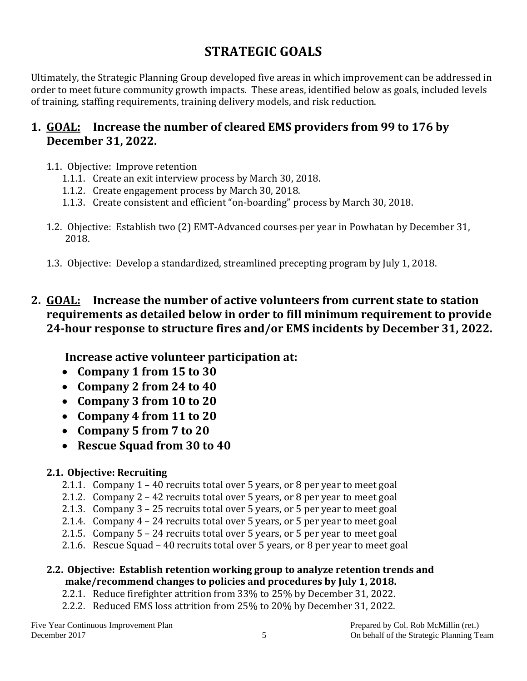# **STRATEGIC GOALS**

Ultimately, the Strategic Planning Group developed five areas in which improvement can be addressed in order to meet future community growth impacts. These areas, identified below as goals, included levels of training, staffing requirements, training delivery models, and risk reduction.

# **1. GOAL: Increase the number of cleared EMS providers from 99 to 176 by December 31, 2022.**

- 1.1. Objective: Improve retention
	- 1.1.1. Create an exit interview process by March 30, 2018.
	- 1.1.2. Create engagement process by March 30, 2018.
	- 1.1.3. Create consistent and efficient "on-boarding" process by March 30, 2018.
- 1.2. Objective: Establish two (2) EMT-Advanced courses per year in Powhatan by December 31, 2018.
- 1.3. Objective: Develop a standardized, streamlined precepting program by July 1, 2018.

## **2. GOAL: Increase the number of active volunteers from current state to station requirements as detailed below in order to fill minimum requirement to provide 24-hour response to structure fires and/or EMS incidents by December 31, 2022.**

**Increase active volunteer participation at:**

- **Company 1 from 15 to 30**
- **Company 2 from 24 to 40**
- **Company 3 from 10 to 20**
- **Company 4 from 11 to 20**
- **Company 5 from 7 to 20**
- **Rescue Squad from 30 to 40**

#### **2.1. Objective: Recruiting**

- 2.1.1. Company 1 40 recruits total over 5 years, or 8 per year to meet goal
- 2.1.2. Company 2 42 recruits total over 5 years, or 8 per year to meet goal
- 2.1.3. Company 3 25 recruits total over 5 years, or 5 per year to meet goal
- 2.1.4. Company 4 24 recruits total over 5 years, or 5 per year to meet goal
- 2.1.5. Company 5 24 recruits total over 5 years, or 5 per year to meet goal
- 2.1.6. Rescue Squad 40 recruits total over 5 years, or 8 per year to meet goal

#### **2.2. Objective: Establish retention working group to analyze retention trends and make/recommend changes to policies and procedures by July 1, 2018.**

- 2.2.1. Reduce firefighter attrition from 33% to 25% by December 31, 2022.
- 2.2.2. Reduced EMS loss attrition from 25% to 20% by December 31, 2022.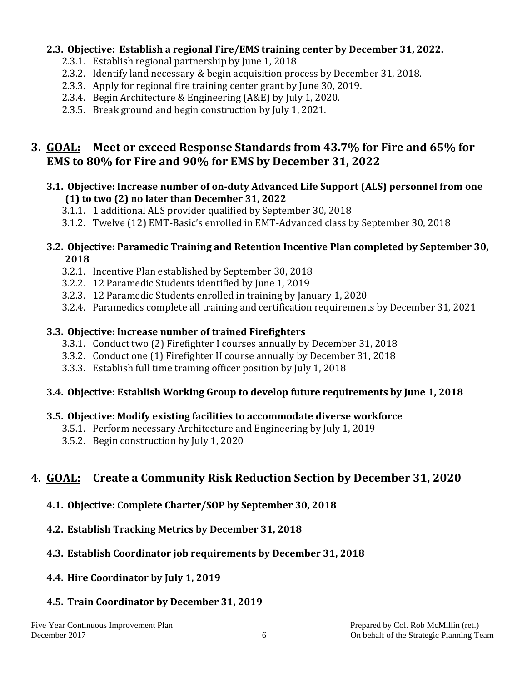#### **2.3. Objective: Establish a regional Fire/EMS training center by December 31, 2022.**

- 2.3.1. Establish regional partnership by June 1, 2018
- 2.3.2. Identify land necessary & begin acquisition process by December 31, 2018.
- 2.3.3. Apply for regional fire training center grant by June 30, 2019.
- 2.3.4. Begin Architecture & Engineering (A&E) by July 1, 2020.
- 2.3.5. Break ground and begin construction by July 1, 2021.

## **3. GOAL: Meet or exceed Response Standards from 43.7% for Fire and 65% for EMS to 80% for Fire and 90% for EMS by December 31, 2022**

#### **3.1. Objective: Increase number of on-duty Advanced Life Support (ALS) personnel from one (1) to two (2) no later than December 31, 2022**

- 3.1.1. 1 additional ALS provider qualified by September 30, 2018
- 3.1.2. Twelve (12) EMT-Basic's enrolled in EMT-Advanced class by September 30, 2018

#### **3.2. Objective: Paramedic Training and Retention Incentive Plan completed by September 30, 2018**

- 3.2.1. Incentive Plan established by September 30, 2018
- 3.2.2. 12 Paramedic Students identified by June 1, 2019
- 3.2.3. 12 Paramedic Students enrolled in training by January 1, 2020
- 3.2.4. Paramedics complete all training and certification requirements by December 31, 2021

#### **3.3. Objective: Increase number of trained Firefighters**

- 3.3.1. Conduct two (2) Firefighter I courses annually by December 31, 2018
- 3.3.2. Conduct one (1) Firefighter II course annually by December 31, 2018
- 3.3.3. Establish full time training officer position by July 1, 2018

#### **3.4. Objective: Establish Working Group to develop future requirements by June 1, 2018**

#### **3.5. Objective: Modify existing facilities to accommodate diverse workforce**

- 3.5.1. Perform necessary Architecture and Engineering by July 1, 2019
- 3.5.2. Begin construction by July 1, 2020

# **4. GOAL: Create a Community Risk Reduction Section by December 31, 2020**

- **4.1. Objective: Complete Charter/SOP by September 30, 2018**
- **4.2. Establish Tracking Metrics by December 31, 2018**

#### **4.3. Establish Coordinator job requirements by December 31, 2018**

**4.4. Hire Coordinator by July 1, 2019**

#### **4.5. Train Coordinator by December 31, 2019**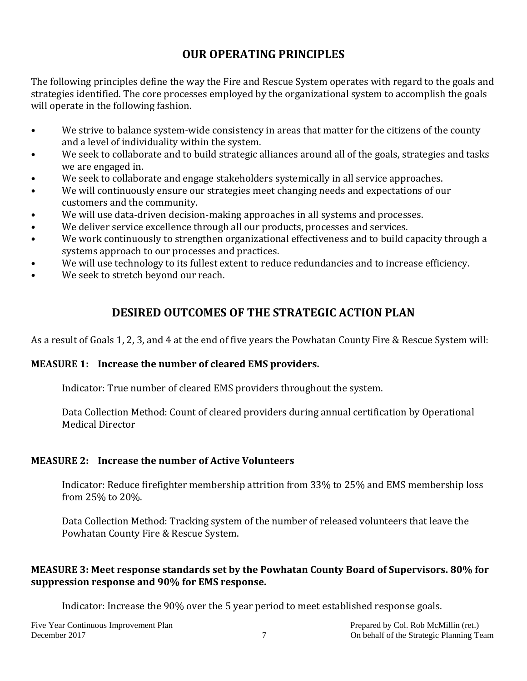# **OUR OPERATING PRINCIPLES**

The following principles define the way the Fire and Rescue System operates with regard to the goals and strategies identified. The core processes employed by the organizational system to accomplish the goals will operate in the following fashion.

- We strive to balance system-wide consistency in areas that matter for the citizens of the county and a level of individuality within the system.
- We seek to collaborate and to build strategic alliances around all of the goals, strategies and tasks we are engaged in.
- We seek to collaborate and engage stakeholders systemically in all service approaches.
- We will continuously ensure our strategies meet changing needs and expectations of our customers and the community.
- We will use data-driven decision-making approaches in all systems and processes.
- We deliver service excellence through all our products, processes and services.
- We work continuously to strengthen organizational effectiveness and to build capacity through a systems approach to our processes and practices.
- We will use technology to its fullest extent to reduce redundancies and to increase efficiency.
- We seek to stretch beyond our reach.

# **DESIRED OUTCOMES OF THE STRATEGIC ACTION PLAN**

As a result of Goals 1, 2, 3, and 4 at the end of five years the Powhatan County Fire & Rescue System will:

#### **MEASURE 1: Increase the number of cleared EMS providers.**

Indicator: True number of cleared EMS providers throughout the system.

Data Collection Method: Count of cleared providers during annual certification by Operational Medical Director

#### **MEASURE 2: Increase the number of Active Volunteers**

Indicator: Reduce firefighter membership attrition from 33% to 25% and EMS membership loss from 25% to 20%.

Data Collection Method: Tracking system of the number of released volunteers that leave the Powhatan County Fire & Rescue System.

#### **MEASURE 3: Meet response standards set by the Powhatan County Board of Supervisors. 80% for suppression response and 90% for EMS response.**

Indicator: Increase the 90% over the 5 year period to meet established response goals.